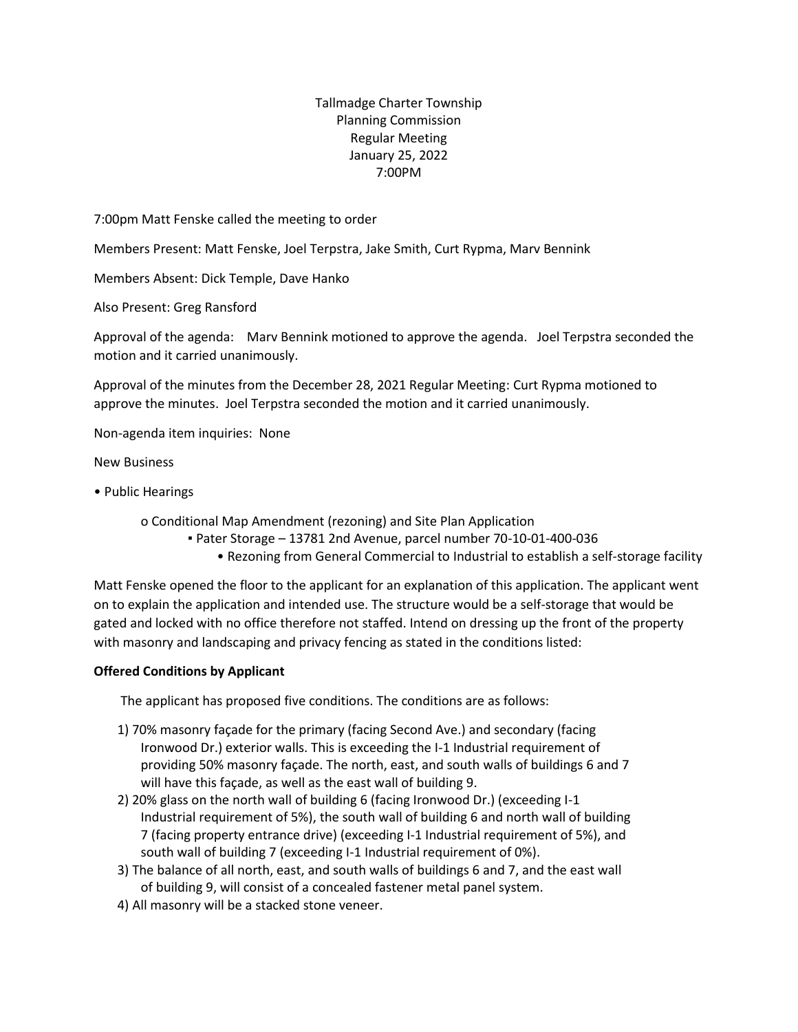## Tallmadge Charter Township Planning Commission Regular Meeting January 25, 2022 7:00PM

7:00pm Matt Fenske called the meeting to order

Members Present: Matt Fenske, Joel Terpstra, Jake Smith, Curt Rypma, Marv Bennink

Members Absent: Dick Temple, Dave Hanko

Also Present: Greg Ransford

Approval of the agenda: Marv Bennink motioned to approve the agenda. Joel Terpstra seconded the motion and it carried unanimously.

Approval of the minutes from the December 28, 2021 Regular Meeting: Curt Rypma motioned to approve the minutes. Joel Terpstra seconded the motion and it carried unanimously.

Non-agenda item inquiries: None

New Business

• Public Hearings

o Conditional Map Amendment (rezoning) and Site Plan Application

- Pater Storage 13781 2nd Avenue, parcel number 70-10-01-400-036
	- Rezoning from General Commercial to Industrial to establish a self-storage facility

Matt Fenske opened the floor to the applicant for an explanation of this application. The applicant went on to explain the application and intended use. The structure would be a self-storage that would be gated and locked with no office therefore not staffed. Intend on dressing up the front of the property with masonry and landscaping and privacy fencing as stated in the conditions listed:

## **Offered Conditions by Applicant**

The applicant has proposed five conditions. The conditions are as follows:

- 1) 70% masonry façade for the primary (facing Second Ave.) and secondary (facing Ironwood Dr.) exterior walls. This is exceeding the I-1 Industrial requirement of providing 50% masonry façade. The north, east, and south walls of buildings 6 and 7 will have this façade, as well as the east wall of building 9.
- 2) 20% glass on the north wall of building 6 (facing Ironwood Dr.) (exceeding I-1 Industrial requirement of 5%), the south wall of building 6 and north wall of building 7 (facing property entrance drive) (exceeding I-1 Industrial requirement of 5%), and south wall of building 7 (exceeding I-1 Industrial requirement of 0%).
- 3) The balance of all north, east, and south walls of buildings 6 and 7, and the east wall of building 9, will consist of a concealed fastener metal panel system.
- 4) All masonry will be a stacked stone veneer.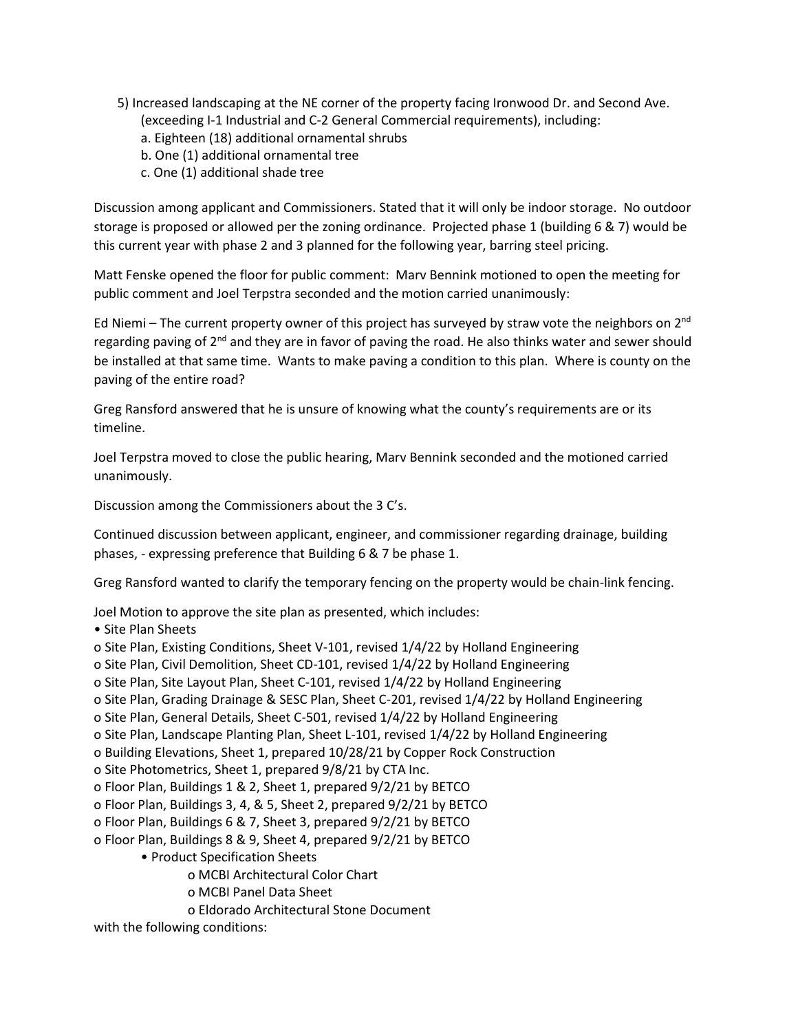- 5) Increased landscaping at the NE corner of the property facing Ironwood Dr. and Second Ave.
	- (exceeding I-1 Industrial and C-2 General Commercial requirements), including:
	- a. Eighteen (18) additional ornamental shrubs
	- b. One (1) additional ornamental tree
	- c. One (1) additional shade tree

Discussion among applicant and Commissioners. Stated that it will only be indoor storage. No outdoor storage is proposed or allowed per the zoning ordinance. Projected phase 1 (building 6 & 7) would be this current year with phase 2 and 3 planned for the following year, barring steel pricing.

Matt Fenske opened the floor for public comment: Marv Bennink motioned to open the meeting for public comment and Joel Terpstra seconded and the motion carried unanimously:

Ed Niemi – The current property owner of this project has surveyed by straw vote the neighbors on  $2^{nd}$ regarding paving of 2<sup>nd</sup> and they are in favor of paving the road. He also thinks water and sewer should be installed at that same time. Wants to make paving a condition to this plan. Where is county on the paving of the entire road?

Greg Ransford answered that he is unsure of knowing what the county's requirements are or its timeline.

Joel Terpstra moved to close the public hearing, Marv Bennink seconded and the motioned carried unanimously.

Discussion among the Commissioners about the 3 C's.

Continued discussion between applicant, engineer, and commissioner regarding drainage, building phases, - expressing preference that Building 6 & 7 be phase 1.

Greg Ransford wanted to clarify the temporary fencing on the property would be chain-link fencing.

Joel Motion to approve the site plan as presented, which includes:

• Site Plan Sheets

o Site Plan, Existing Conditions, Sheet V-101, revised 1/4/22 by Holland Engineering

o Site Plan, Civil Demolition, Sheet CD-101, revised 1/4/22 by Holland Engineering

o Site Plan, Site Layout Plan, Sheet C-101, revised 1/4/22 by Holland Engineering

o Site Plan, Grading Drainage & SESC Plan, Sheet C-201, revised 1/4/22 by Holland Engineering

o Site Plan, General Details, Sheet C-501, revised 1/4/22 by Holland Engineering

o Site Plan, Landscape Planting Plan, Sheet L-101, revised 1/4/22 by Holland Engineering

o Building Elevations, Sheet 1, prepared 10/28/21 by Copper Rock Construction

o Site Photometrics, Sheet 1, prepared 9/8/21 by CTA Inc.

o Floor Plan, Buildings 1 & 2, Sheet 1, prepared 9/2/21 by BETCO

o Floor Plan, Buildings 3, 4, & 5, Sheet 2, prepared 9/2/21 by BETCO

o Floor Plan, Buildings 6 & 7, Sheet 3, prepared 9/2/21 by BETCO

o Floor Plan, Buildings 8 & 9, Sheet 4, prepared 9/2/21 by BETCO

• Product Specification Sheets

o MCBI Architectural Color Chart

o MCBI Panel Data Sheet

o Eldorado Architectural Stone Document

with the following conditions: